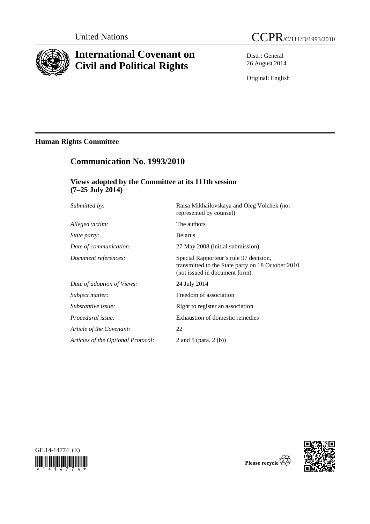

# **International Covenant on Civil and Political Rights**



Distr.: General 26 August 2014

Original: English

## **Human Rights Committee**

## **Communication No. 1993/2010**

## **Views adopted by the Committee at its 111th session (7–25 July 2014)**

| Submitted by:                      | Raisa Mikhailovskaya and Oleg Volchek (not<br>represented by counsel)                                                        |
|------------------------------------|------------------------------------------------------------------------------------------------------------------------------|
| Alleged victim:                    | The authors                                                                                                                  |
| <i>State party:</i>                | <b>Belarus</b>                                                                                                               |
| Date of communication:             | 27 May 2008 (initial submission)                                                                                             |
| Document references:               | Special Rapporteur's rule 97 decision,<br>transmitted to the State party on 18 October 2010<br>(not issued in document form) |
| Date of adoption of Views:         | 24 July 2014                                                                                                                 |
| Subject matter:                    | Freedom of association                                                                                                       |
| Substantive issue:                 | Right to register an association                                                                                             |
| Procedural issue:                  | Exhaustion of domestic remedies                                                                                              |
| Article of the Covenant:           | 22                                                                                                                           |
| Articles of the Optional Protocol: | 2 and 5 (para. $2(b)$ )                                                                                                      |
|                                    |                                                                                                                              |





Please recycle  $\overleftrightarrow{C}_N$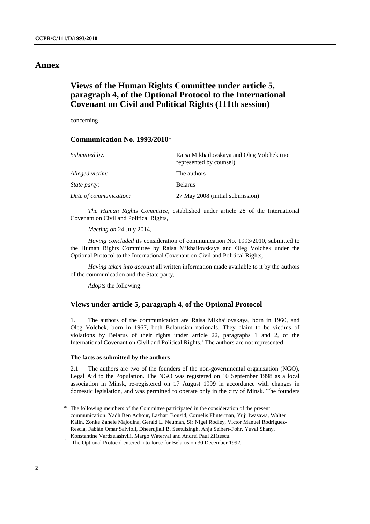## **Annex**

## **Views of the Human Rights Committee under article 5, paragraph 4, of the Optional Protocol to the International Covenant on Civil and Political Rights (111th session)**

concerning

### **Communication No. 1993/2010**\*

| Submitted by:          | Raisa Mikhailovskaya and Oleg Volchek (not<br>represented by counsel) |
|------------------------|-----------------------------------------------------------------------|
| Alleged victim:        | The authors                                                           |
| <i>State party:</i>    | <b>Belarus</b>                                                        |
| Date of communication: | 27 May 2008 (initial submission)                                      |

*The Human Rights Committee*, established under article 28 of the International Covenant on Civil and Political Rights,

*Meeting on* 24 July 2014,

*Having concluded* its consideration of communication No. 1993/2010, submitted to the Human Rights Committee by Raisa Mikhailovskaya and Oleg Volchek under the Optional Protocol to the International Covenant on Civil and Political Rights,

*Having taken into account* all written information made available to it by the authors of the communication and the State party,

*Adopts* the following:

### **Views under article 5, paragraph 4, of the Optional Protocol**

1. The authors of the communication are Raisa Mikhailovskaya, born in 1960, and Oleg Volchek, born in 1967, both Belarusian nationals. They claim to be victims of violations by Belarus of their rights under article 22, paragraphs 1 and 2, of the International Covenant on Civil and Political Rights.<sup>1</sup> The authors are not represented.

#### **The facts as submitted by the authors**

2.1 The authors are two of the founders of the non-governmental organization (NGO), Legal Aid to the Population. The NGO was registered on 10 September 1998 as a local association in Minsk, re-registered on 17 August 1999 in accordance with changes in domestic legislation, and was permitted to operate only in the city of Minsk. The founders

<sup>\*</sup> The following members of the Committee participated in the consideration of the present communication: Yadh Ben Achour, Lazhari Bouzid, Cornelis Flinterman, Yuji Iwasawa, Walter Kälin, Zonke Zanele Majodina, Gerald L. Neuman, Sir Nigel Rodley, Víctor Manuel Rodríguez-Rescia, Fabián Omar Salvioli, Dheerujlall B. Seetulsingh, Anja Seibert-Fohr, Yuval Shany, Konstantine Vardzelashvili, Margo Waterval and Andrei Paul Zl<sup>ă</sup>tescu. 1

<sup>&</sup>lt;sup>1</sup> The Optional Protocol entered into force for Belarus on 30 December 1992.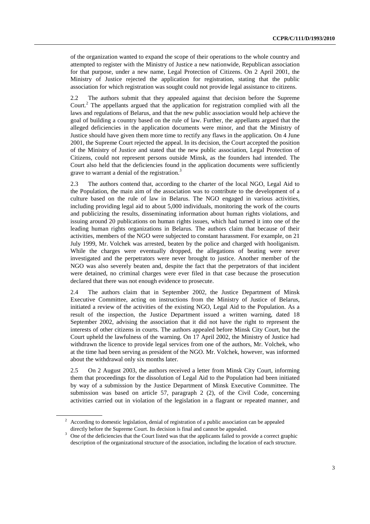of the organization wanted to expand the scope of their operations to the whole country and attempted to register with the Ministry of Justice a new nationwide, Republican association for that purpose, under a new name, Legal Protection of Citizens. On 2 April 2001, the Ministry of Justice rejected the application for registration, stating that the public association for which registration was sought could not provide legal assistance to citizens.

The authors submit that they appealed against that decision before the Supreme Court.<sup>2</sup> The appellants argued that the application for registration complied with all the laws and regulations of Belarus, and that the new public association would help achieve the goal of building a country based on the rule of law. Further, the appellants argued that the alleged deficiencies in the application documents were minor, and that the Ministry of Justice should have given them more time to rectify any flaws in the application. On 4 June 2001, the Supreme Court rejected the appeal. In its decision, the Court accepted the position of the Ministry of Justice and stated that the new public association, Legal Protection of Citizens, could not represent persons outside Minsk, as the founders had intended. The Court also held that the deficiencies found in the application documents were sufficiently grave to warrant a denial of the registration.<sup>3</sup>

2.3 The authors contend that, according to the charter of the local NGO, Legal Aid to the Population, the main aim of the association was to contribute to the development of a culture based on the rule of law in Belarus. The NGO engaged in various activities, including providing legal aid to about 5,000 individuals, monitoring the work of the courts and publicizing the results, disseminating information about human rights violations, and issuing around 20 publications on human rights issues, which had turned it into one of the leading human rights organizations in Belarus. The authors claim that because of their activities, members of the NGO were subjected to constant harassment. For example, on 21 July 1999, Mr. Volchek was arrested, beaten by the police and charged with hooliganism. While the charges were eventually dropped, the allegations of beating were never investigated and the perpetrators were never brought to justice. Another member of the NGO was also severely beaten and, despite the fact that the perpetrators of that incident were detained, no criminal charges were ever filed in that case because the prosecution declared that there was not enough evidence to prosecute.

2.4 The authors claim that in September 2002, the Justice Department of Minsk Executive Committee, acting on instructions from the Ministry of Justice of Belarus, initiated a review of the activities of the existing NGO, Legal Aid to the Population. As a result of the inspection, the Justice Department issued a written warning, dated 18 September 2002, advising the association that it did not have the right to represent the interests of other citizens in courts. The authors appealed before Minsk City Court, but the Court upheld the lawfulness of the warning. On 17 April 2002, the Ministry of Justice had withdrawn the licence to provide legal services from one of the authors, Mr. Volchek, who at the time had been serving as president of the NGO. Mr. Volchek, however, was informed about the withdrawal only six months later.

2.5 On 2 August 2003, the authors received a letter from Minsk City Court, informing them that proceedings for the dissolution of Legal Aid to the Population had been initiated by way of a submission by the Justice Department of Minsk Executive Committee. The submission was based on article 57, paragraph 2 (2), of the Civil Code, concerning activities carried out in violation of the legislation in a flagrant or repeated manner, and

 $2$  According to domestic legislation, denial of registration of a public association can be appealed directly before the Supreme Court. Its decision is final and cannot be appealed.

<sup>&</sup>lt;sup>3</sup> One of the deficiencies that the Court listed was that the applicants failed to provide a correct graphic description of the organizational structure of the association, including the location of each structure.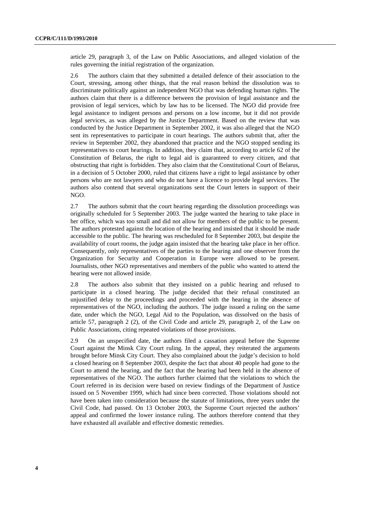article 29, paragraph 3, of the Law on Public Associations, and alleged violation of the rules governing the initial registration of the organization.

2.6 The authors claim that they submitted a detailed defence of their association to the Court, stressing, among other things, that the real reason behind the dissolution was to discriminate politically against an independent NGO that was defending human rights. The authors claim that there is a difference between the provision of legal assistance and the provision of legal services, which by law has to be licensed. The NGO did provide free legal assistance to indigent persons and persons on a low income, but it did not provide legal services, as was alleged by the Justice Department. Based on the review that was conducted by the Justice Department in September 2002, it was also alleged that the NGO sent its representatives to participate in court hearings. The authors submit that, after the review in September 2002, they abandoned that practice and the NGO stopped sending its representatives to court hearings. In addition, they claim that, according to article 62 of the Constitution of Belarus, the right to legal aid is guaranteed to every citizen, and that obstructing that right is forbidden. They also claim that the Constitutional Court of Belarus, in a decision of 5 October 2000, ruled that citizens have a right to legal assistance by other persons who are not lawyers and who do not have a licence to provide legal services. The authors also contend that several organizations sent the Court letters in support of their NGO.

2.7 The authors submit that the court hearing regarding the dissolution proceedings was originally scheduled for 5 September 2003. The judge wanted the hearing to take place in her office, which was too small and did not allow for members of the public to be present. The authors protested against the location of the hearing and insisted that it should be made accessible to the public. The hearing was rescheduled for 8 September 2003, but despite the availability of court rooms, the judge again insisted that the hearing take place in her office. Consequently, only representatives of the parties to the hearing and one observer from the Organization for Security and Cooperation in Europe were allowed to be present. Journalists, other NGO representatives and members of the public who wanted to attend the hearing were not allowed inside.

2.8 The authors also submit that they insisted on a public hearing and refused to participate in a closed hearing. The judge decided that their refusal constituted an unjustified delay to the proceedings and proceeded with the hearing in the absence of representatives of the NGO, including the authors. The judge issued a ruling on the same date, under which the NGO, Legal Aid to the Population, was dissolved on the basis of article 57, paragraph 2 (2), of the Civil Code and article 29, paragraph 2, of the Law on Public Associations, citing repeated violations of those provisions.

2.9 On an unspecified date, the authors filed a cassation appeal before the Supreme Court against the Minsk City Court ruling. In the appeal, they reiterated the arguments brought before Minsk City Court. They also complained about the judge's decision to hold a closed hearing on 8 September 2003, despite the fact that about 40 people had gone to the Court to attend the hearing, and the fact that the hearing had been held in the absence of representatives of the NGO. The authors further claimed that the violations to which the Court referred in its decision were based on review findings of the Department of Justice issued on 5 November 1999, which had since been corrected. Those violations should not have been taken into consideration because the statute of limitations, three years under the Civil Code, had passed. On 13 October 2003, the Supreme Court rejected the authors' appeal and confirmed the lower instance ruling. The authors therefore contend that they have exhausted all available and effective domestic remedies.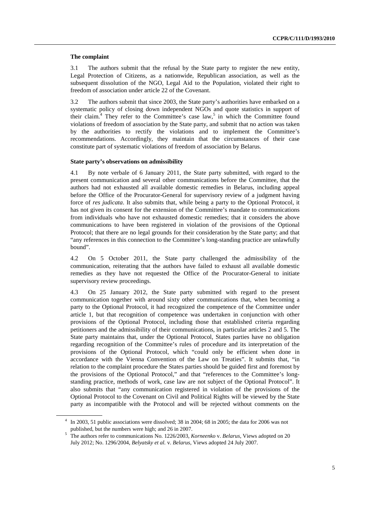#### **The complaint**

3.1 The authors submit that the refusal by the State party to register the new entity, Legal Protection of Citizens, as a nationwide, Republican association, as well as the subsequent dissolution of the NGO, Legal Aid to the Population, violated their right to freedom of association under article 22 of the Covenant.

3.2 The authors submit that since 2003, the State party's authorities have embarked on a systematic policy of closing down independent NGOs and quote statistics in support of their claim.<sup>4</sup> They refer to the Committee's case law,<sup>5</sup> in which the Committee found violations of freedom of association by the State party, and submit that no action was taken by the authorities to rectify the violations and to implement the Committee's recommendations. Accordingly, they maintain that the circumstances of their case constitute part of systematic violations of freedom of association by Belarus.

#### **State party's observations on admissibility**

4.1 By note verbale of 6 January 2011, the State party submitted, with regard to the present communication and several other communications before the Committee, that the authors had not exhausted all available domestic remedies in Belarus, including appeal before the Office of the Procurator-General for supervisory review of a judgment having force of *res judicata*. It also submits that, while being a party to the Optional Protocol, it has not given its consent for the extension of the Committee's mandate to communications from individuals who have not exhausted domestic remedies; that it considers the above communications to have been registered in violation of the provisions of the Optional Protocol; that there are no legal grounds for their consideration by the State party; and that "any references in this connection to the Committee's long-standing practice are unlawfully bound".

4.2 On 5 October 2011, the State party challenged the admissibility of the communication, reiterating that the authors have failed to exhaust all available domestic remedies as they have not requested the Office of the Procurator-General to initiate supervisory review proceedings.

4.3 On 25 January 2012, the State party submitted with regard to the present communication together with around sixty other communications that, when becoming a party to the Optional Protocol, it had recognized the competence of the Committee under article 1, but that recognition of competence was undertaken in conjunction with other provisions of the Optional Protocol, including those that established criteria regarding petitioners and the admissibility of their communications, in particular articles 2 and 5. The State party maintains that, under the Optional Protocol, States parties have no obligation regarding recognition of the Committee's rules of procedure and its interpretation of the provisions of the Optional Protocol, which "could only be efficient when done in accordance with the Vienna Convention of the Law on Treaties". It submits that, "in relation to the complaint procedure the States parties should be guided first and foremost by the provisions of the Optional Protocol," and that "references to the Committee's longstanding practice, methods of work, case law are not subject of the Optional Protocol". It also submits that "any communication registered in violation of the provisions of the Optional Protocol to the Covenant on Civil and Political Rights will be viewed by the State party as incompatible with the Protocol and will be rejected without comments on the

<sup>&</sup>lt;sup>4</sup> In 2003, 51 public associations were dissolved; 38 in 2004; 68 in 2005; the data for 2006 was not

published, but the numbers were high; and 26 in 2007.<br><sup>5</sup> The authors refer to communications No. 1226/2003, *Korneenko* v. *Belarus*, Views adopted on 20 July 2012; No. 1296/2004, *Belyatsky et al.* v. *Belarus*, Views adopted 24 July 2007.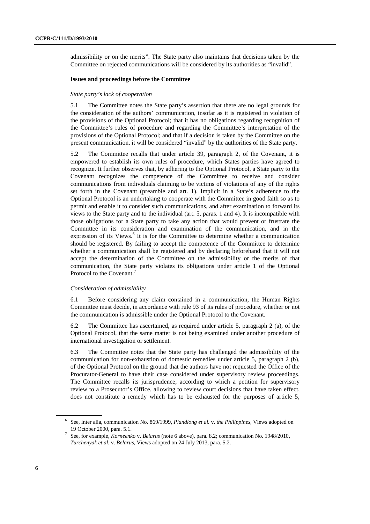admissibility or on the merits". The State party also maintains that decisions taken by the Committee on rejected communications will be considered by its authorities as "invalid".

#### **Issues and proceedings before the Committee**

#### *State party's lack of cooperation*

5.1 The Committee notes the State party's assertion that there are no legal grounds for the consideration of the authors' communication, insofar as it is registered in violation of the provisions of the Optional Protocol; that it has no obligations regarding recognition of the Committee's rules of procedure and regarding the Committee's interpretation of the provisions of the Optional Protocol; and that if a decision is taken by the Committee on the present communication, it will be considered "invalid" by the authorities of the State party.

5.2 The Committee recalls that under article 39, paragraph 2, of the Covenant, it is empowered to establish its own rules of procedure, which States parties have agreed to recognize. It further observes that, by adhering to the Optional Protocol, a State party to the Covenant recognizes the competence of the Committee to receive and consider communications from individuals claiming to be victims of violations of any of the rights set forth in the Covenant (preamble and art. 1). Implicit in a State's adherence to the Optional Protocol is an undertaking to cooperate with the Committee in good faith so as to permit and enable it to consider such communications, and after examination to forward its views to the State party and to the individual (art. 5, paras. 1 and 4). It is incompatible with those obligations for a State party to take any action that would prevent or frustrate the Committee in its consideration and examination of the communication, and in the expression of its Views.<sup>6</sup> It is for the Committee to determine whether a communication should be registered. By failing to accept the competence of the Committee to determine whether a communication shall be registered and by declaring beforehand that it will not accept the determination of the Committee on the admissibility or the merits of that communication, the State party violates its obligations under article 1 of the Optional Protocol to the Covenant.<sup>7</sup>

#### *Consideration of admissibility*

6.1 Before considering any claim contained in a communication, the Human Rights Committee must decide, in accordance with rule 93 of its rules of procedure, whether or not the communication is admissible under the Optional Protocol to the Covenant.

6.2 The Committee has ascertained, as required under article 5, paragraph 2 (a), of the Optional Protocol, that the same matter is not being examined under another procedure of international investigation or settlement.

6.3 The Committee notes that the State party has challenged the admissibility of the communication for non-exhaustion of domestic remedies under article 5, paragraph 2 (b), of the Optional Protocol on the ground that the authors have not requested the Office of the Procurator-General to have their case considered under supervisory review proceedings. The Committee recalls its jurisprudence, according to which a petition for supervisory review to a Prosecutor's Office, allowing to review court decisions that have taken effect, does not constitute a remedy which has to be exhausted for the purposes of article 5,

<sup>6</sup> See, inter alia, communication No. 869/1999, *Piandiong et al.* v. *the Philippines*, Views adopted on 19 October 2000, para. 5.1. 7

See, for example, *Korneenko* v. *Belarus* (note 6 above), para. 8.2; communication No. 1948/2010, *Turchenyak et al.* v. *Belarus*, Views adopted on 24 July 2013, para. 5.2.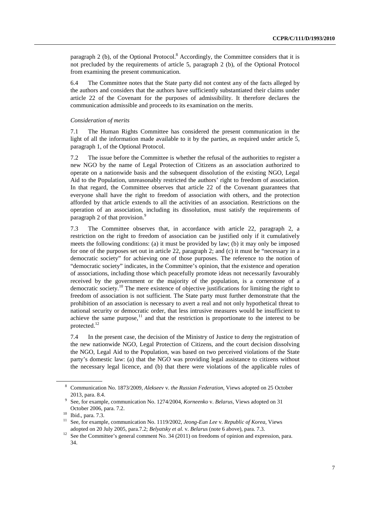paragraph 2 (b), of the Optional Protocol.<sup>8</sup> Accordingly, the Committee considers that it is not precluded by the requirements of article 5, paragraph 2 (b), of the Optional Protocol from examining the present communication.

6.4 The Committee notes that the State party did not contest any of the facts alleged by the authors and considers that the authors have sufficiently substantiated their claims under article 22 of the Covenant for the purposes of admissibility. It therefore declares the communication admissible and proceeds to its examination on the merits.

#### *Consideration of merits*

7.1 The Human Rights Committee has considered the present communication in the light of all the information made available to it by the parties, as required under article 5, paragraph 1, of the Optional Protocol.

7.2 The issue before the Committee is whether the refusal of the authorities to register a new NGO by the name of Legal Protection of Citizens as an association authorized to operate on a nationwide basis and the subsequent dissolution of the existing NGO, Legal Aid to the Population, unreasonably restricted the authors' right to freedom of association. In that regard, the Committee observes that article 22 of the Covenant guarantees that everyone shall have the right to freedom of association with others, and the protection afforded by that article extends to all the activities of an association. Restrictions on the operation of an association, including its dissolution, must satisfy the requirements of paragraph 2 of that provision.<sup>9</sup>

7.3 The Committee observes that, in accordance with article 22, paragraph 2, a restriction on the right to freedom of association can be justified only if it cumulatively meets the following conditions: (a) it must be provided by law; (b) it may only be imposed for one of the purposes set out in article 22, paragraph 2; and (c) it must be "necessary in a democratic society" for achieving one of those purposes. The reference to the notion of "democratic society" indicates, in the Committee's opinion, that the existence and operation of associations, including those which peacefully promote ideas not necessarily favourably received by the government or the majority of the population, is a cornerstone of a democratic society.<sup>10</sup> The mere existence of objective justifications for limiting the right to freedom of association is not sufficient. The State party must further demonstrate that the prohibition of an association is necessary to avert a real and not only hypothetical threat to national security or democratic order, that less intrusive measures would be insufficient to achieve the same purpose, $11$  and that the restriction is proportionate to the interest to be protected.<sup>12</sup>

7.4 In the present case, the decision of the Ministry of Justice to deny the registration of the new nationwide NGO, Legal Protection of Citizens, and the court decision dissolving the NGO, Legal Aid to the Population, was based on two perceived violations of the State party's domestic law: (a) that the NGO was providing legal assistance to citizens without the necessary legal licence, and (b) that there were violations of the applicable rules of

<sup>8</sup> Communication No. 1873/2009, *Alekseev* v. *the Russian Federation*, Views adopted on 25 October 2013, para. 8.4. 9 See, for example, communication No. 1274/2004, *Korneenko* v. *Belarus*, Views adopted on 31

October 2006, para. 7.2. 10 Ibid., para. 7.3.

<sup>11</sup> See, for example, communication No. 1119/2002, *Jeong-Eun Lee* v. *Republic of Korea*, Views

adopted on 20 July 2005, para.7.2; *Belyatsky et al. v. Belarus* (note 6 above), para. 7.3.<br><sup>12</sup> See the Committee's general comment No. 34 (2011) on freedoms of opinion and expression, para. 34.